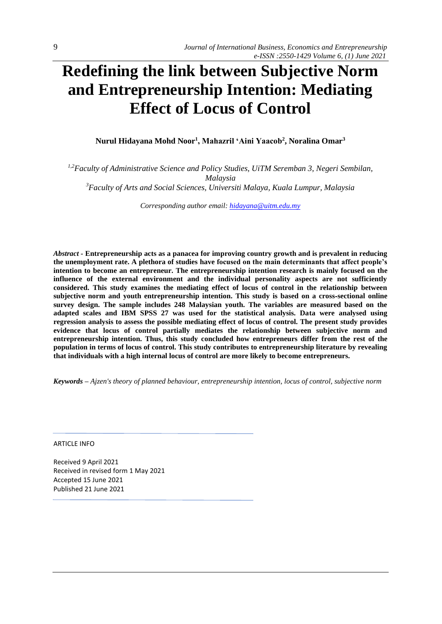# **Redefining the link between Subjective Norm and Entrepreneurship Intention: Mediating Effect of Locus of Control**

**Nurul Hidayana Mohd Noor<sup>1</sup> , Mahazril 'Aini Yaacob<sup>2</sup> , Noralina Omar<sup>3</sup>**

*1,2Faculty of Administrative Science and Policy Studies, UiTM Seremban 3, Negeri Sembilan, Malaysia <sup>3</sup>Faculty of Arts and Social Sciences, Universiti Malaya, Kuala Lumpur, Malaysia*

*Corresponding author email: [hidayana@uitm.edu.my](mailto:hidayana@uitm.edu.my)*

*Abstract -* **Entrepreneurship acts as a panacea for improving country growth and is prevalent in reducing the unemployment rate. A plethora of studies have focused on the main determinants that affect people's intention to become an entrepreneur. The entrepreneurship intention research is mainly focused on the influence of the external environment and the individual personality aspects are not sufficiently considered. This study examines the mediating effect of locus of control in the relationship between subjective norm and youth entrepreneurship intention. This study is based on a cross**‐**sectional online survey design. The sample includes 248 Malaysian youth. The variables are measured based on the adapted scales and IBM SPSS 27 was used for the statistical analysis. Data were analysed using regression analysis to assess the possible mediating effect of locus of control. The present study provides evidence that locus of control partially mediates the relationship between subjective norm and entrepreneurship intention. Thus, this study concluded how entrepreneurs differ from the rest of the population in terms of locus of control. This study contributes to entrepreneurship literature by revealing that individuals with a high internal locus of control are more likely to become entrepreneurs.**

*Keywords – Ajzen's theory of planned behaviour, entrepreneurship intention, locus of control, subjective norm*

ARTICLE INFO

Received 9 April 2021 Received in revised form 1 May 2021 Accepted 15 June 2021 Published 21 June 2021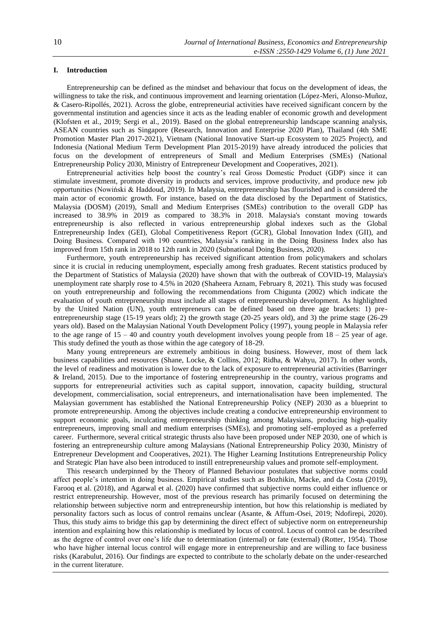## **I. Introduction**

Entrepreneurship can be defined as the mindset and behaviour that focus on the development of ideas, the willingness to take the risk, and continuous improvement and learning orientation (López-Meri, Alonso-Muñoz, & Casero-Ripollés, 2021). Across the globe, entrepreneurial activities have received significant concern by the governmental institution and agencies since it acts as the leading enabler of economic growth and development (Klofsten et al., 2019; Sergi et al., 2019). Based on the global entrepreneurship landscape scanning analysis, ASEAN countries such as Singapore (Research, Innovation and Enterprise 2020 Plan), Thailand (4th SME Promotion Master Plan 2017-2021), Vietnam (National Innovative Start-up Ecosystem to 2025 Project), and Indonesia (National Medium Term Development Plan 2015-2019) have already introduced the policies that focus on the development of entrepreneurs of Small and Medium Enterprises (SMEs) (National Entrepreneurship Policy 2030, Ministry of Entrepreneur Development and Cooperatives, 2021).

Entrepreneurial activities help boost the country's real Gross Domestic Product (GDP) since it can stimulate investment, promote diversity in products and services, improve productivity, and produce new job opportunities (Nowiński & Haddoud, 2019). In Malaysia, entrepreneurship has flourished and is considered the main actor of economic growth. For instance, based on the data disclosed by the Department of Statistics, Malaysia (DOSM) (2019), Small and Medium Enterprises (SMEs) contribution to the overall GDP has increased to 38.9% in 2019 as compared to 38.3% in 2018. Malaysia's constant moving towards entrepreneurship is also reflected in various entrepreneurship global indexes such as the Global Entrepreneurship Index (GEI), Global Competitiveness Report (GCR), Global Innovation Index (GII), and Doing Business. Compared with 190 countries, Malaysia's ranking in the Doing Business Index also has improved from 15th rank in 2018 to 12th rank in 2020 (Subnational Doing Business, 2020).

Furthermore, youth entrepreneurship has received significant attention from policymakers and scholars since it is crucial in reducing unemployment, especially among fresh graduates. Recent statistics produced by the Department of Statistics of Malaysia (2020) have shown that with the outbreak of COVID-19, Malaysia's unemployment rate sharply rose to 4.5% in 2020 (Shaheera Aznam, February 8, 2021). This study was focused on youth entrepreneurship and following the recommendations from Chigunta (2002) which indicate the evaluation of youth entrepreneurship must include all stages of entrepreneurship development. As highlighted by the United Nation (UN), youth entrepreneurs can be defined based on three age brackets: 1) preentrepreneurship stage (15-19 years old); 2) the growth stage (20-25 years old), and 3) the prime stage (26-29 years old). Based on the Malaysian National Youth Development Policy (1997), young people in Malaysia refer to the age range of  $15 - 40$  and country youth development involves young people from  $18 - 25$  year of age. This study defined the youth as those within the age category of 18-29.

Many young entrepreneurs are extremely ambitious in doing business. However, most of them lack business capabilities and resources (Shane, Locke, & Collins, 2012; Ridha, & Wahyu, 2017). In other words, the level of readiness and motivation is lower due to the lack of exposure to entrepreneurial activities (Barringer & Ireland, 2015). Due to the importance of fostering entrepreneurship in the country, various programs and supports for entrepreneurial activities such as capital support, innovation, capacity building, structural development, commercialisation, social entrepreneurs, and internationalisation have been implemented. The Malaysian government has established the National Entrepreneurship Policy (NEP) 2030 as a blueprint to promote entrepreneurship. Among the objectives include creating a conducive entrepreneurship environment to support economic goals, inculcating entrepreneurship thinking among Malaysians, producing high-quality entrepreneurs, improving small and medium enterprises (SMEs), and promoting self-employed as a preferred career. Furthermore, several critical strategic thrusts also have been proposed under NEP 2030, one of which is fostering an entrepreneurship culture among Malaysians (National Entrepreneurship Policy 2030, Ministry of Entrepreneur Development and Cooperatives, 2021). The Higher Learning Institutions Entrepreneurship Policy and Strategic Plan have also been introduced to instill entrepreneurship values and promote self-employment.

This research underpinned by the Theory of Planned Behaviour postulates that subjective norms could affect people's intention in doing business. Empirical studies such as Bozhikin, Macke, and da Costa (2019), Farooq et al. (2018), and Agarwal et al. (2020) have confirmed that subjective norms could either influence or restrict entrepreneurship. However, most of the previous research has primarily focused on determining the relationship between subjective norm and entrepreneurship intention, but how this relationship is mediated by personality factors such as locus of control remains unclear (Asante, & Affum-Osei, 2019; Ndofirepi, 2020). Thus, this study aims to bridge this gap by determining the direct effect of subjective norm on entrepreneurship intention and explaining how this relationship is mediated by locus of control. Locus of control can be described as the degree of control over one's life due to determination (internal) or fate (external) (Rotter, 1954). Those who have higher internal locus control will engage more in entrepreneurship and are willing to face business risks (Karabulut, 2016). Our findings are expected to contribute to the scholarly debate on the under-researched in the current literature.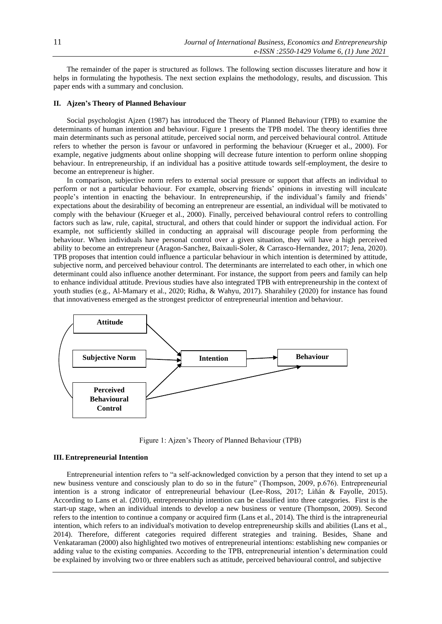The remainder of the paper is structured as follows. The following section discusses literature and how it helps in formulating the hypothesis. The next section explains the methodology, results, and discussion. This paper ends with a summary and conclusion.

## **II. Ajzen's Theory of Planned Behaviour**

Social psychologist Ajzen (1987) has introduced the Theory of Planned Behaviour (TPB) to examine the determinants of human intention and behaviour. Figure 1 presents the TPB model. The theory identifies three main determinants such as personal attitude, perceived social norm, and perceived behavioural control. Attitude refers to whether the person is favour or unfavored in performing the behaviour (Krueger et al., 2000). For example, negative judgments about online shopping will decrease future intention to perform online shopping behaviour. In entrepreneurship, if an individual has a positive attitude towards self-employment, the desire to become an entrepreneur is higher.

In comparison, subjective norm refers to external social pressure or support that affects an individual to perform or not a particular behaviour. For example, observing friends' opinions in investing will inculcate people's intention in enacting the behaviour. In entrepreneurship, if the individual's family and friends' expectations about the desirability of becoming an entrepreneur are essential, an individual will be motivated to comply with the behaviour (Krueger et al., 2000). Finally, perceived behavioural control refers to controlling factors such as law, rule, capital, structural, and others that could hinder or support the individual action. For example, not sufficiently skilled in conducting an appraisal will discourage people from performing the behaviour. When individuals have personal control over a given situation, they will have a high perceived ability to become an entrepreneur (Aragon-Sanchez, Baixauli-Soler, & Carrasco-Hernandez, 2017; Jena, 2020). TPB proposes that intention could influence a particular behaviour in which intention is determined by attitude, subjective norm, and perceived behaviour control. The determinants are interrelated to each other, in which one determinant could also influence another determinant. For instance, the support from peers and family can help to enhance individual attitude. Previous studies have also integrated TPB with entrepreneurship in the context of youth studies (e.g., Al-Mamary et al., 2020; Ridha, & Wahyu, 2017). Sharahiley (2020) for instance has found that innovativeness emerged as the strongest predictor of entrepreneurial intention and behaviour.



Figure 1: Ajzen's Theory of Planned Behaviour (TPB)

## **III. Entrepreneurial Intention**

Entrepreneurial intention refers to "a self-acknowledged conviction by a person that they intend to set up a new business venture and consciously plan to do so in the future" (Thompson, 2009, p.676). Entrepreneurial intention is a strong indicator of entrepreneurial behaviour (Lee-Ross, 2017; Liñán & Fayolle, 2015). According to Lans et al. (2010), entrepreneurship intention can be classified into three categories. First is the start-up stage, when an individual intends to develop a new business or venture (Thompson, 2009). Second refers to the intention to continue a company or acquired firm (Lans et al., 2014). The third is the intrapreneurial intention, which refers to an individual's motivation to develop entrepreneurship skills and abilities (Lans et al., 2014). Therefore, different categories required different strategies and training. Besides, Shane and Venkataraman (2000) also highlighted two motives of entrepreneurial intentions: establishing new companies or adding value to the existing companies. According to the TPB, entrepreneurial intention's determination could be explained by involving two or three enablers such as attitude, perceived behavioural control, and subjective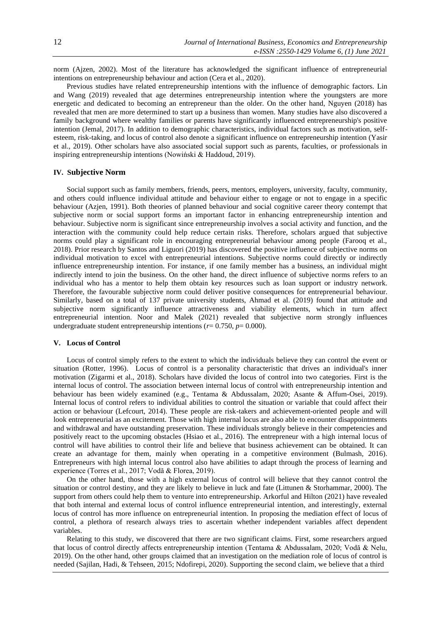norm (Ajzen, 2002). Most of the literature has acknowledged the significant influence of entrepreneurial intentions on entrepreneurship behaviour and action (Cera et al., 2020).

Previous studies have related entrepreneurship intentions with the influence of demographic factors. Lin and Wang (2019) revealed that age determines entrepreneurship intention where the youngsters are more energetic and dedicated to becoming an entrepreneur than the older. On the other hand, Nguyen (2018) has revealed that men are more determined to start up a business than women. Many studies have also discovered a family background where wealthy families or parents have significantly influenced entrepreneurship's positive intention (Jemal, 2017). In addition to demographic characteristics, individual factors such as motivation, selfesteem, risk-taking, and locus of control also denote a significant influence on entrepreneurship intention (Yasir et al., 2019). Other scholars have also associated social support such as parents, faculties, or professionals in inspiring entrepreneurship intentions (Nowiński & Haddoud, 2019).

#### **IV. Subjective Norm**

Social support such as family members, friends, peers, mentors, employers, university, faculty, community, and others could influence individual attitude and behaviour either to engage or not to engage in a specific behaviour (Azjen, 1991). Both theories of planned behaviour and social cognitive career theory contempt that subjective norm or social support forms an important factor in enhancing entrepreneurship intention and behaviour. Subjective norm is significant since entrepreneurship involves a social activity and function, and the interaction with the community could help reduce certain risks. Therefore, scholars argued that subjective norms could play a significant role in encouraging entrepreneurial behaviour among people (Farooq et al., 2018). Prior research by Santos and Liguori (2019) has discovered the positive influence of subjective norms on individual motivation to excel with entrepreneurial intentions. Subjective norms could directly or indirectly influence entrepreneurship intention. For instance, if one family member has a business, an individual might indirectly intend to join the business. On the other hand, the direct influence of subjective norms refers to an individual who has a mentor to help them obtain key resources such as loan support or industry network. Therefore, the favourable subjective norm could deliver positive consequences for entrepreneurial behaviour. Similarly, based on a total of 137 private university students, Ahmad et al. (2019) found that attitude and subjective norm significantly influence attractiveness and viability elements, which in turn affect entrepreneurial intention. Noor and Malek (2021) revealed that subjective norm strongly influences undergraduate student entrepreneurship intentions ( $r= 0.750$ ,  $p= 0.000$ ).

#### **V. Locus of Control**

Locus of control simply refers to the extent to which the individuals believe they can control the event or situation (Rotter, 1996). Locus of control is a personality characteristic that drives an individual's inner motivation (Zigarmi et al., 2018). Scholars have divided the locus of control into two categories. First is the internal locus of control. The association between internal locus of control with entrepreneurship intention and behaviour has been widely examined (e.g., Tentama & Abdussalam, 2020; Asante & Affum-Osei, 2019). Internal locus of control refers to individual abilities to control the situation or variable that could affect their action or behaviour (Lefcourt, 2014). These people are risk-takers and achievement-oriented people and will look entrepreneurial as an excitement. Those with high internal locus are also able to encounter disappointments and withdrawal and have outstanding preservation. These individuals strongly believe in their competencies and positively react to the upcoming obstacles (Hsiao et al., 2016). The entrepreneur with a high internal locus of control will have abilities to control their life and believe that business achievement can be obtained. It can create an advantage for them, mainly when operating in a competitive environment (Bulmash, 2016). Entrepreneurs with high internal locus control also have abilities to adapt through the process of learning and experience (Torres et al., 2017; Vodă & Florea, 2019).

On the other hand, those with a high external locus of control will believe that they cannot control the situation or control destiny, and they are likely to believe in luck and fate (Littunen & Storhammar, 2000). The support from others could help them to venture into entrepreneurship. Arkorful and Hilton (2021) have revealed that both internal and external locus of control influence entrepreneurial intention, and interestingly, external locus of control has more influence on entrepreneurial intention. In proposing the mediation effect of locus of control, a plethora of research always tries to ascertain whether independent variables affect dependent variables.

Relating to this study, we discovered that there are two significant claims. First, some researchers argued that locus of control directly affects entrepreneurship intention (Tentama & Abdussalam, 2020; Vodă & Nelu, 2019). On the other hand, other groups claimed that an investigation on the mediation role of locus of control is needed (Sajilan, Hadi, & Tehseen, 2015; Ndofirepi, 2020). Supporting the second claim, we believe that a third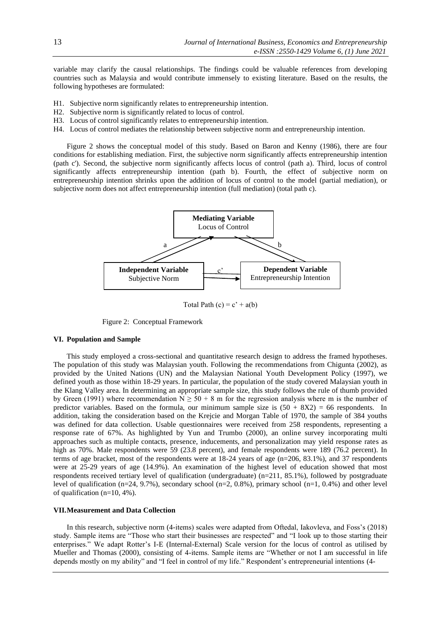variable may clarify the causal relationships. The findings could be valuable references from developing countries such as Malaysia and would contribute immensely to existing literature. Based on the results, the following hypotheses are formulated:

- H1. Subjective norm significantly relates to entrepreneurship intention.
- H2. Subjective norm is significantly related to locus of control.
- H3. Locus of control significantly relates to entrepreneurship intention.
- H4. Locus of control mediates the relationship between subjective norm and entrepreneurship intention.

Figure 2 shows the conceptual model of this study. Based on Baron and Kenny (1986), there are four conditions for establishing mediation. First, the subjective norm significantly affects entrepreneurship intention (path c'). Second, the subjective norm significantly affects locus of control (path a). Third, locus of control significantly affects entrepreneurship intention (path b). Fourth, the effect of subjective norm on entrepreneurship intention shrinks upon the addition of locus of control to the model (partial mediation), or subjective norm does not affect entrepreneurship intention (full mediation) (total path c).



Total Path  $(c) = c' + a(b)$ 

Figure 2: Conceptual Framework

## **VI. Population and Sample**

This study employed a cross-sectional and quantitative research design to address the framed hypotheses. The population of this study was Malaysian youth. Following the recommendations from Chigunta (2002), as provided by the United Nations (UN) and the Malaysian National Youth Development Policy (1997), we defined youth as those within 18-29 years. In particular, the population of the study covered Malaysian youth in the Klang Valley area. In determining an appropriate sample size, this study follows the rule of thumb provided by Green (1991) where recommendation  $N \ge 50 + 8$  m for the regression analysis where m is the number of predictor variables. Based on the formula, our minimum sample size is  $(50 + 8X2) = 66$  respondents. In addition, taking the consideration based on the Krejcie and Morgan Table of 1970, the sample of 384 youths was defined for data collection. Usable questionnaires were received from 258 respondents, representing a response rate of 67%. As highlighted by Yun and Trumbo (2000), an online survey incorporating multi approaches such as multiple contacts, presence, inducements, and personalization may yield response rates as high as 70%. Male respondents were 59 (23.8 percent), and female respondents were 189 (76.2 percent). In terms of age bracket, most of the respondents were at 18-24 years of age (n=206, 83.1%), and 37 respondents were at 25-29 years of age (14.9%). An examination of the highest level of education showed that most respondents received tertiary level of qualification (undergraduate) (n=211, 85.1%), followed by postgraduate level of qualification (n=24, 9.7%), secondary school (n=2, 0.8%), primary school (n=1, 0.4%) and other level of qualification (n=10, 4%).

## **VII.Measurement and Data Collection**

In this research, subjective norm (4-items) scales were adapted from Oftedal, Iakovleva, and Foss's (2018) study. Sample items are "Those who start their businesses are respected" and "I look up to those starting their enterprises." We adapt Rotter's I-E (Internal-External) Scale version for the locus of control as utilised by Mueller and Thomas (2000), consisting of 4-items. Sample items are "Whether or not I am successful in life depends mostly on my ability" and "I feel in control of my life." Respondent's entrepreneurial intentions (4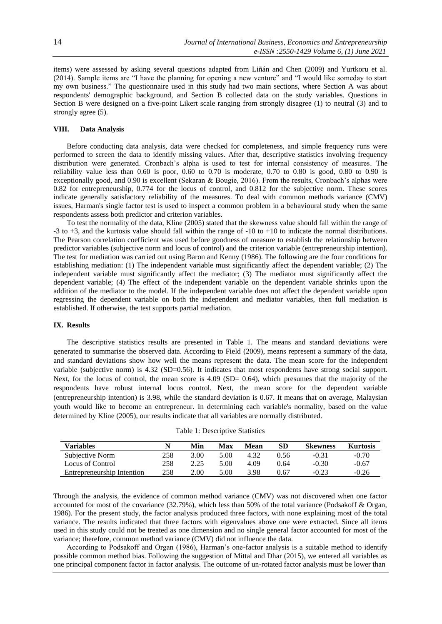items) were assessed by asking several questions adapted from Liñán and Chen (2009) and Yurtkoru et al. (2014). Sample items are "I have the planning for opening a new venture" and "I would like someday to start my own business." The questionnaire used in this study had two main sections, where Section A was about respondents' demographic background, and Section B collected data on the study variables. Questions in Section B were designed on a five-point Likert scale ranging from strongly disagree (1) to neutral (3) and to strongly agree (5).

# **VIII. Data Analysis**

Before conducting data analysis, data were checked for completeness, and simple frequency runs were performed to screen the data to identify missing values. After that, descriptive statistics involving frequency distribution were generated. Cronbach's alpha is used to test for internal consistency of measures. The reliability value less than  $0.60$  is poor,  $0.60$  to  $0.70$  is moderate,  $0.70$  to  $0.80$  is good,  $0.80$  to  $0.90$  is exceptionally good, and 0.90 is excellent (Sekaran & Bougie, 2016). From the results, Cronbach's alphas were 0.82 for entrepreneurship, 0.774 for the locus of control, and 0.812 for the subjective norm. These scores indicate generally satisfactory reliability of the measures. To deal with common methods variance (CMV) issues, Harman's single factor test is used to inspect a common problem in a behavioural study when the same respondents assess both predictor and criterion variables.

To test the normality of the data, Kline (2005) stated that the skewness value should fall within the range of -3 to +3, and the kurtosis value should fall within the range of  $-10$  to  $+10$  to indicate the normal distributions. The Pearson correlation coefficient was used before goodness of measure to establish the relationship between predictor variables (subjective norm and locus of control) and the criterion variable (entrepreneurship intention). The test for mediation was carried out using Baron and Kenny (1986). The following are the four conditions for establishing mediation: (1) The independent variable must significantly affect the dependent variable; (2) The independent variable must significantly affect the mediator; (3) The mediator must significantly affect the dependent variable; (4) The effect of the independent variable on the dependent variable shrinks upon the addition of the mediator to the model. If the independent variable does not affect the dependent variable upon regressing the dependent variable on both the independent and mediator variables, then full mediation is established. If otherwise, the test supports partial mediation.

#### **IX. Results**

The descriptive statistics results are presented in Table 1. The means and standard deviations were generated to summarise the observed data. According to Field (2009), means represent a summary of the data, and standard deviations show how well the means represent the data. The mean score for the independent variable (subjective norm) is 4.32 (SD=0.56). It indicates that most respondents have strong social support. Next, for the locus of control, the mean score is  $4.09$  (SD= 0.64), which presumes that the majority of the respondents have robust internal locus control. Next, the mean score for the dependent variable (entrepreneurship intention) is 3.98, while the standard deviation is 0.67. It means that on average, Malaysian youth would like to become an entrepreneur. In determining each variable's normality, based on the value determined by Kline (2005), our results indicate that all variables are normally distributed.

| Table 1: Descriptive Statistics |  |
|---------------------------------|--|
|---------------------------------|--|

| Variables                  |     | Min  | Max  | Mean | SD   | <b>Skewness</b> | <b>Kurtosis</b> |
|----------------------------|-----|------|------|------|------|-----------------|-----------------|
| Subjective Norm            | 258 | 3.00 | 5.00 | 4.32 | 0.56 | $-0.31$         | $-0.70$         |
| Locus of Control           | 258 | 2.25 | 5.00 | 4.09 | 0.64 | $-0.30$         | $-0.67$         |
| Entrepreneurship Intention | 258 | 2.00 | 5.00 | 3.98 | 0.67 | $-0.23$         | $-0.26$         |

Through the analysis, the evidence of common method variance (CMV) was not discovered when one factor accounted for most of the covariance (32.79%), which less than 50% of the total variance (Podsakoff & Organ, 1986). For the present study, the factor analysis produced three factors, with none explaining most of the total variance. The results indicated that three factors with eigenvalues above one were extracted. Since all items used in this study could not be treated as one dimension and no single general factor accounted for most of the variance; therefore, common method variance (CMV) did not influence the data.

According to Podsakoff and Organ (1986), Harman's one-factor analysis is a suitable method to identify possible common method bias. Following the suggestion of Mittal and Dhar (2015), we entered all variables as one principal component factor in factor analysis. The outcome of un-rotated factor analysis must be lower than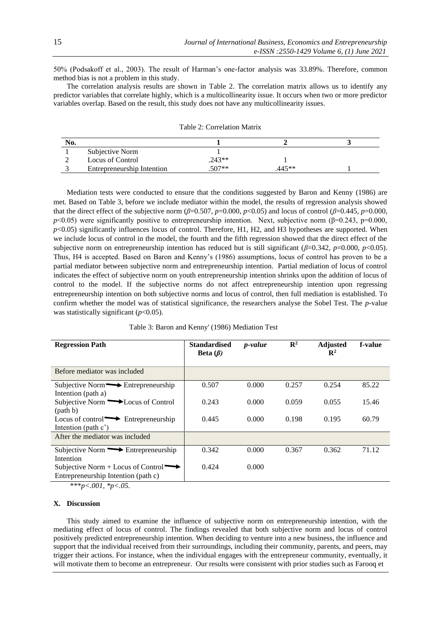50% (Podsakoff et al., 2003). The result of Harman's one-factor analysis was 33.89%. Therefore, common method bias is not a problem in this study.

The correlation analysis results are shown in Table 2. The correlation matrix allows us to identify any predictor variables that correlate highly, which is a multicollinearity issue. It occurs when two or more predictor variables overlap. Based on the result, this study does not have any multicollinearity issues.

| No. |                            |          |       |  |
|-----|----------------------------|----------|-------|--|
|     | Subjective Norm            |          |       |  |
|     | Locus of Control           | $.243**$ |       |  |
|     | Entrepreneurship Intention | $507**$  | 445** |  |

Table 2: Correlation Matrix

Mediation tests were conducted to ensure that the conditions suggested by Baron and Kenny (1986) are met. Based on Table 3, before we include mediator within the model, the results of regression analysis showed that the direct effect of the subjective norm ( $\beta$ =0.507,  $p$ =0.000,  $p$ <0.05) and locus of control ( $\beta$ =0.445,  $p$ =0.000,  $p$ <0.05) were significantly positive to entrepreneurship intention. Next, subjective norm ( $\beta$ =0.243, p=0.000, *p*<0.05) significantly influences locus of control. Therefore, H1, H2, and H3 hypotheses are supported. When we include locus of control in the model, the fourth and the fifth regression showed that the direct effect of the subjective norm on entrepreneurship intention has reduced but is still significant ( $\beta$ =0.342,  $p$ =0.000,  $p$ <0.05). Thus, H4 is accepted. Based on Baron and Kenny's (1986) assumptions, locus of control has proven to be a partial mediator between subjective norm and entrepreneurship intention. Partial mediation of locus of control indicates the effect of subjective norm on youth entrepreneurship intention shrinks upon the addition of locus of control to the model. If the subjective norms do not affect entrepreneurship intention upon regressing entrepreneurship intention on both subjective norms and locus of control, then full mediation is established. To confirm whether the model was of statistical significance, the researchers analyse the Sobel Test. The *p*-value was statistically significant ( $p$ <0.05).

| Table 3: Baron and Kenny' (1986) Mediation Test |  |
|-------------------------------------------------|--|
|-------------------------------------------------|--|

| <b>Regression Path</b>                                                     | <b>Standardised</b><br>Beta $(\beta)$ | <i>p</i> -value | $\mathbb{R}^2$ | <b>Adjusted</b><br>$\mathbf{R}^2$ | f-value |
|----------------------------------------------------------------------------|---------------------------------------|-----------------|----------------|-----------------------------------|---------|
| Before mediator was included                                               |                                       |                 |                |                                   |         |
| Subjective Norm $\longrightarrow$ Entrepreneurship<br>Intention (path a)   | 0.507                                 | 0.000           | 0.257          | 0.254                             | 85.22   |
| Subjective Norm DLocus of Control<br>(path b)                              | 0.243                                 | 0.000           | 0.059          | 0.055                             | 15.46   |
| Locus of control $\longrightarrow$ Entrepreneurship<br>Intention (path c') | 0.445                                 | 0.000           | 0.198          | 0.195                             | 60.79   |
| After the mediator was included                                            |                                       |                 |                |                                   |         |
| Subjective Norm $\rightarrow$ Entrepreneurship<br>Intention                | 0.342                                 | 0.000           | 0.367          | 0.362                             | 71.12   |
| Subjective Norm + Locus of Control<br>Entrepreneurship Intention (path c)  | 0.424                                 | 0.000           |                |                                   |         |

\*\*\**p<.001, \*p<.05.*

#### **X. Discussion**

This study aimed to examine the influence of subjective norm on entrepreneurship intention, with the mediating effect of locus of control. The findings revealed that both subjective norm and locus of control positively predicted entrepreneurship intention. When deciding to venture into a new business, the influence and support that the individual received from their surroundings, including their community, parents, and peers, may trigger their actions. For instance, when the individual engages with the entrepreneur community, eventually, it will motivate them to become an entrepreneur. Our results were consistent with prior studies such as Farooq et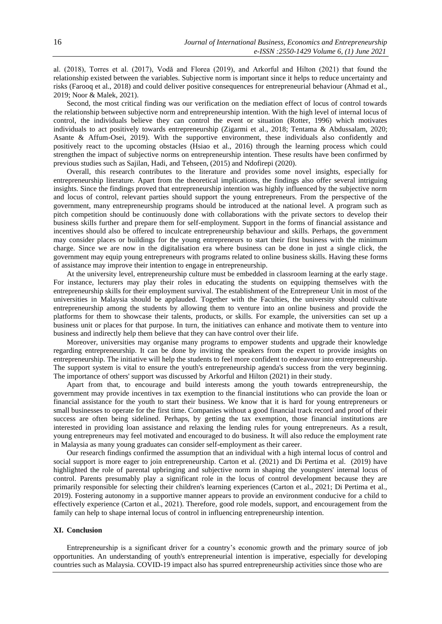al. (2018), Torres et al. (2017), Vodă and Florea (2019), and Arkorful and Hilton (2021) that found the relationship existed between the variables. Subjective norm is important since it helps to reduce uncertainty and risks (Farooq et al., 2018) and could deliver positive consequences for entrepreneurial behaviour (Ahmad et al., 2019; Noor & Malek, 2021).

Second, the most critical finding was our verification on the mediation effect of locus of control towards the relationship between subjective norm and entrepreneurship intention. With the high level of internal locus of control, the individuals believe they can control the event or situation (Rotter, 1996) which motivates individuals to act positively towards entrepreneurship (Zigarmi et al., 2018; Tentama & Abdussalam, 2020; Asante & Affum-Osei, 2019). With the supportive environment, these individuals also confidently and positively react to the upcoming obstacles (Hsiao et al., 2016) through the learning process which could strengthen the impact of subjective norms on entrepreneurship intention. These results have been confirmed by previous studies such as Sajilan, Hadi, and Tehseen, (2015) and Ndofirepi (2020).

Overall, this research contributes to the literature and provides some novel insights, especially for entrepreneurship literature. Apart from the theoretical implications, the findings also offer several intriguing insights. Since the findings proved that entrepreneurship intention was highly influenced by the subjective norm and locus of control, relevant parties should support the young entrepreneurs. From the perspective of the government, many entrepreneurship programs should be introduced at the national level. A program such as pitch competition should be continuously done with collaborations with the private sectors to develop their business skills further and prepare them for self-employment. Support in the forms of financial assistance and incentives should also be offered to inculcate entrepreneurship behaviour and skills. Perhaps, the government may consider places or buildings for the young entrepreneurs to start their first business with the minimum charge. Since we are now in the digitalisation era where business can be done in just a single click, the government may equip young entrepreneurs with programs related to online business skills. Having these forms of assistance may improve their intention to engage in entrepreneurship.

At the university level, entrepreneurship culture must be embedded in classroom learning at the early stage. For instance, lecturers may play their roles in educating the students on equipping themselves with the entrepreneurship skills for their employment survival. The establishment of the Entrepreneur Unit in most of the universities in Malaysia should be applauded. Together with the Faculties, the university should cultivate entrepreneurship among the students by allowing them to venture into an online business and provide the platforms for them to showcase their talents, products, or skills. For example, the universities can set up a business unit or places for that purpose. In turn, the initiatives can enhance and motivate them to venture into business and indirectly help them believe that they can have control over their life.

Moreover, universities may organise many programs to empower students and upgrade their knowledge regarding entrepreneurship. It can be done by inviting the speakers from the expert to provide insights on entrepreneurship. The initiative will help the students to feel more confident to endeavour into entrepreneurship. The support system is vital to ensure the youth's entrepreneurship agenda's success from the very beginning. The importance of others' support was discussed by Arkorful and Hilton (2021) in their study.

Apart from that, to encourage and build interests among the youth towards entrepreneurship, the government may provide incentives in tax exemption to the financial institutions who can provide the loan or financial assistance for the youth to start their business. We know that it is hard for young entrepreneurs or small businesses to operate for the first time. Companies without a good financial track record and proof of their success are often being sidelined. Perhaps, by getting the tax exemption, those financial institutions are interested in providing loan assistance and relaxing the lending rules for young entrepreneurs. As a result, young entrepreneurs may feel motivated and encouraged to do business. It will also reduce the employment rate in Malaysia as many young graduates can consider self-employment as their career.

Our research findings confirmed the assumption that an individual with a high internal locus of control and social support is more eager to join entrepreneurship. Carton et al. (2021) and Di Pertima et al. (2019) have highlighted the role of parental upbringing and subjective norm in shaping the youngsters' internal locus of control. Parents presumably play a significant role in the locus of control development because they are primarily responsible for selecting their children's learning experiences (Carton et al., 2021; Di Pertima et al., 2019). Fostering autonomy in a supportive manner appears to provide an environment conducive for a child to effectively experience (Carton et al., 2021). Therefore, good role models, support, and encouragement from the family can help to shape internal locus of control in influencing entrepreneurship intention.

## **XI. Conclusion**

Entrepreneurship is a significant driver for a country's economic growth and the primary source of job opportunities. An understanding of youth's entrepreneurial intention is imperative, especially for developing countries such as Malaysia. COVID-19 impact also has spurred entrepreneurship activities since those who are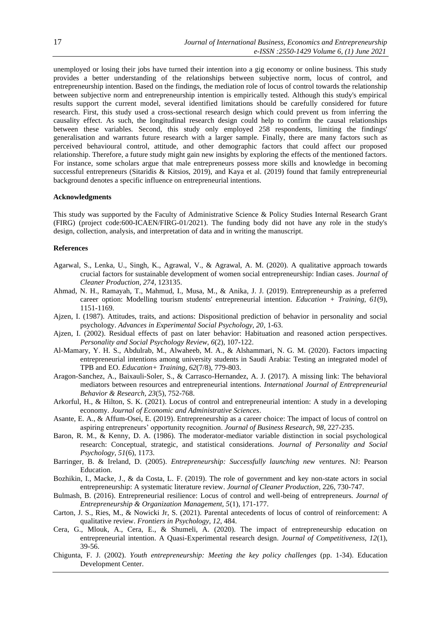unemployed or losing their jobs have turned their intention into a gig economy or online business. This study provides a better understanding of the relationships between subjective norm, locus of control, and entrepreneurship intention. Based on the findings, the mediation role of locus of control towards the relationship between subjective norm and entrepreneurship intention is empirically tested. Although this study's empirical results support the current model, several identified limitations should be carefully considered for future research. First, this study used a cross-sectional research design which could prevent us from inferring the causality effect. As such, the longitudinal research design could help to confirm the causal relationships between these variables. Second, this study only employed 258 respondents, limiting the findings' generalisation and warrants future research with a larger sample. Finally, there are many factors such as perceived behavioural control, attitude, and other demographic factors that could affect our proposed relationship. Therefore, a future study might gain new insights by exploring the effects of the mentioned factors. For instance, some scholars argue that male entrepreneurs possess more skills and knowledge in becoming successful entrepreneurs (Sitaridis & Kitsios, 2019), and Kaya et al. (2019) found that family entrepreneurial background denotes a specific influence on entrepreneurial intentions.

#### **Acknowledgments**

This study was supported by the Faculty of Administrative Science & Policy Studies Internal Research Grant (FIRG) (project code:600-ICAEN/FIRG-01/2021). The funding body did not have any role in the study's design, collection, analysis, and interpretation of data and in writing the manuscript.

# **References**

- Agarwal, S., Lenka, U., Singh, K., Agrawal, V., & Agrawal, A. M. (2020). A qualitative approach towards crucial factors for sustainable development of women social entrepreneurship: Indian cases. *Journal of Cleaner Production, 274*, 123135.
- Ahmad, N. H., Ramayah, T., Mahmud, I., Musa, M., & Anika, J. J. (2019). Entrepreneurship as a preferred career option: Modelling tourism students' entrepreneurial intention. *Education + Training, 61*(9), 1151-1169.
- Ajzen, I. (1987). Attitudes, traits, and actions: Dispositional prediction of behavior in personality and social psychology. *Advances in Experimental Social Psychology, 20*, 1-63.
- Ajzen, I. (2002). Residual effects of past on later behavior: Habituation and reasoned action perspectives. *Personality and Social Psychology Review, 6*(2), 107-122.
- Al-Mamary, Y. H. S., Abdulrab, M., Alwaheeb, M. A., & Alshammari, N. G. M. (2020). Factors impacting entrepreneurial intentions among university students in Saudi Arabia: Testing an integrated model of TPB and EO. *Education+ Training, 62*(7/8), 779-803.
- Aragon-Sanchez, A., Baixauli-Soler, S., & Carrasco-Hernandez, A. J. (2017). A missing link: The behavioral mediators between resources and entrepreneurial intentions. *International Journal of Entrepreneurial Behavior & Research, 23*(5), 752-768.
- Arkorful, H., & Hilton, S. K. (2021). Locus of control and entrepreneurial intention: A study in a developing economy. *Journal of Economic and Administrative Sciences*.
- Asante, E. A., & Affum-Osei, E. (2019). Entrepreneurship as a career choice: The impact of locus of control on aspiring entrepreneurs' opportunity recognition. *Journal of Business Research, 98*, 227-235.
- Baron, R. M., & Kenny, D. A. (1986). The moderator-mediator variable distinction in social psychological research: Conceptual, strategic, and statistical considerations. *Journal of Personality and Social Psychology, 51*(6), 1173.
- Barringer, B. & Ireland, D. (2005). *Entrepreneurship: Successfully launching new ventures*. NJ: Pearson Education.
- Bozhikin, I., Macke, J., & da Costa, L. F. (2019). The role of government and key non-state actors in social entrepreneurship: A systematic literature review. *Journal of Cleaner Production*, 226, 730-747.
- Bulmash, B. (2016). Entrepreneurial resilience: Locus of control and well-being of entrepreneurs. *Journal of Entrepreneurship & Organization Management, 5*(1), 171-177.
- Carton, J. S., Ries, M., & Nowicki Jr, S. (2021). Parental antecedents of locus of control of reinforcement: A qualitative review. *Frontiers in Psychology, 12*, 484.
- Cera, G., Mlouk, A., Cera, E., & Shumeli, A. (2020). The impact of entrepreneurship education on entrepreneurial intention. A Quasi-Experimental research design. *Journal of Competitiveness, 12*(1), 39-56.
- Chigunta, F. J. (2002). *Youth entrepreneurship: Meeting the key policy challenges* (pp. 1-34). Education Development Center.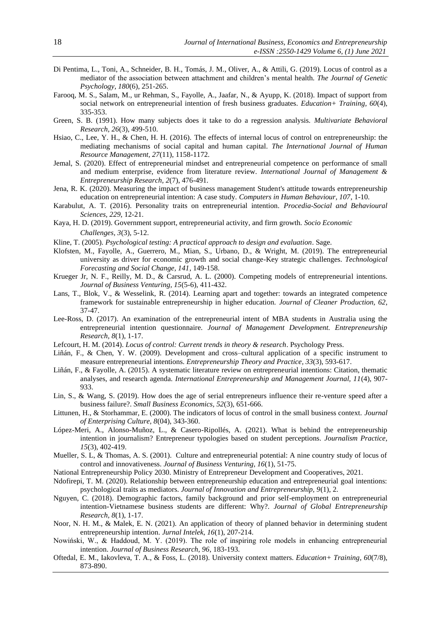- Di Pentima, L., Toni, A., Schneider, B. H., Tomás, J. M., Oliver, A., & Attili, G. (2019). Locus of control as a mediator of the association between attachment and children's mental health. *The Journal of Genetic Psychology, 180*(6), 251-265.
- Farooq, M. S., Salam, M., ur Rehman, S., Fayolle, A., Jaafar, N., & Ayupp, K. (2018). Impact of support from social network on entrepreneurial intention of fresh business graduates. *Education+ Training, 60*(4), 335-353.
- Green, S. B. (1991). How many subjects does it take to do a regression analysis. *Multivariate Behavioral Research, 26*(3), 499-510.
- Hsiao, C., Lee, Y. H., & Chen, H. H. (2016). The effects of internal locus of control on entrepreneurship: the mediating mechanisms of social capital and human capital. *The International Journal of Human Resource Management, 27*(11), 1158-1172.
- Jemal, S. (2020). Effect of entrepreneurial mindset and entrepreneurial competence on performance of small and medium enterprise, evidence from literature review. *International Journal of Management & Entrepreneurship Research, 2*(7), 476-491.
- Jena, R. K. (2020). Measuring the impact of business management Student's attitude towards entrepreneurship education on entrepreneurial intention: A case study. *Computers in Human Behaviour, 107*, 1-10.
- Karabulut, A. T. (2016). Personality traits on entrepreneurial intention. *Procedia-Social and Behavioural Sciences, 229*, 12-21.
- Kaya, H. D. (2019). Government support, entrepreneurial activity, and firm growth. *Socio Economic Challenges, 3*(3), 5-12.
- Kline, T. (2005). *Psychological testing: A practical approach to design and evaluation*. Sage.
- Klofsten, M., Fayolle, A., Guerrero, M., Mian, S., Urbano, D., & Wright, M. (2019). The entrepreneurial university as driver for economic growth and social change-Key strategic challenges. *Technological Forecasting and Social Change, 141*, 149-158.
- Krueger Jr, N. F., Reilly, M. D., & Carsrud, A. L. (2000). Competing models of entrepreneurial intentions. *Journal of Business Venturing, 15*(5-6), 411-432.
- Lans, T., Blok, V., & Wesselink, R. (2014). Learning apart and together: towards an integrated competence framework for sustainable entrepreneurship in higher education. *Journal of Cleaner Production, 62*, 37-47.
- Lee-Ross, D. (2017). An examination of the entrepreneurial intent of MBA students in Australia using the entrepreneurial intention questionnaire. *Journal of Management Development. Entrepreneurship Research, 8*(1), 1-17.
- Lefcourt, H. M. (2014). *Locus of control: Current trends in theory & research*. Psychology Press.
- Liñán, F., & Chen, Y. W. (2009). Development and cross–cultural application of a specific instrument to measure entrepreneurial intentions. *Entrepreneurship Theory and Practice, 33*(3), 593-617.
- Liñán, F., & Fayolle, A. (2015). A systematic literature review on entrepreneurial intentions: Citation, thematic analyses, and research agenda. *International Entrepreneurship and Management Journal, 11*(4), 907- 933.
- Lin, S., & Wang, S. (2019). How does the age of serial entrepreneurs influence their re-venture speed after a business failure?. *Small Business Economics, 52*(3), 651-666.
- Littunen, H., & Storhammar, E. (2000). The indicators of locus of control in the small business context. *Journal of Enterprising Culture, 8*(04), 343-360.
- López-Meri, A., Alonso-Muñoz, L., & Casero-Ripollés, A. (2021). What is behind the entrepreneurship intention in journalism? Entrepreneur typologies based on student perceptions. *Journalism Practice, 15*(3), 402-419.
- Mueller, S. L, & Thomas, A. S. (2001). Culture and entrepreneurial potential: A nine country study of locus of control and innovativeness. *Journal of Business Venturing, 16*(1), 51-75.
- National Entrepreneurship Policy 2030. Ministry of Entrepreneur Development and Cooperatives, 2021.
- Ndofirepi, T. M. (2020). Relationship between entrepreneurship education and entrepreneurial goal intentions: psychological traits as mediators. *Journal of Innovation and Entrepreneurship, 9*(1), 2.
- Nguyen, C. (2018). Demographic factors, family background and prior self-employment on entrepreneurial intention-Vietnamese business students are different: Why?. *Journal of Global Entrepreneurship Research, 8*(1), 1-17.
- Noor, N. H. M., & Malek, E. N. (2021). An application of theory of planned behavior in determining student entrepreneurship intention. *Jurnal Intelek, 16*(1), 207-214.
- Nowiński, W., & Haddoud, M. Y. (2019). The role of inspiring role models in enhancing entrepreneurial intention. *Journal of Business Research, 96*, 183-193.
- Oftedal, E. M., Iakovleva, T. A., & Foss, L. (2018). University context matters. *Education+ Training, 60*(7/8), 873-890.